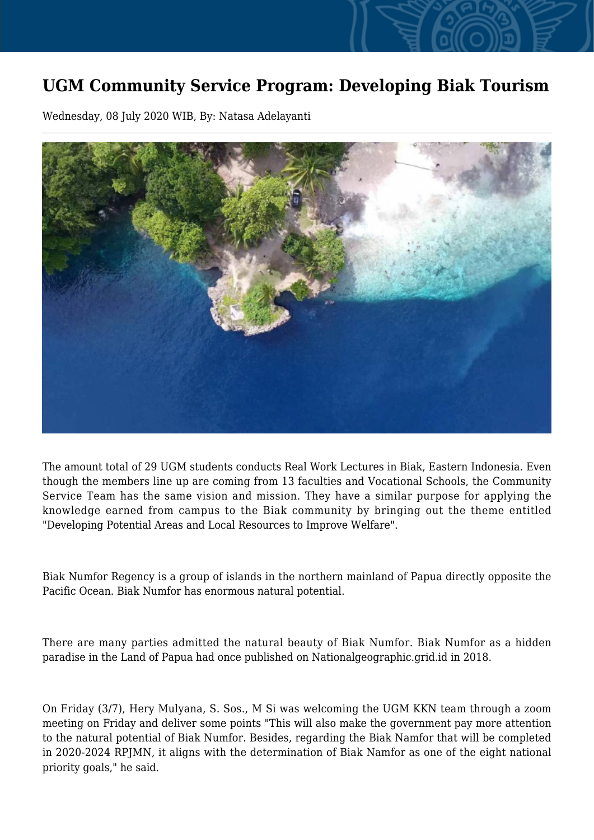## **UGM Community Service Program: Developing Biak Tourism**

Wednesday, 08 July 2020 WIB, By: Natasa Adelayanti



The amount total of 29 UGM students conducts Real Work Lectures in Biak, Eastern Indonesia. Even though the members line up are coming from 13 faculties and Vocational Schools, the Community Service Team has the same vision and mission. They have a similar purpose for applying the knowledge earned from campus to the Biak community by bringing out the theme entitled "Developing Potential Areas and Local Resources to Improve Welfare".

Biak Numfor Regency is a group of islands in the northern mainland of Papua directly opposite the Pacific Ocean. Biak Numfor has enormous natural potential.

There are many parties admitted the natural beauty of Biak Numfor. Biak Numfor as a hidden paradise in the Land of Papua had once published on Nationalgeographic.grid.id in 2018.

On Friday (3/7), Hery Mulyana, S. Sos., M Si was welcoming the UGM KKN team through a zoom meeting on Friday and deliver some points "This will also make the government pay more attention to the natural potential of Biak Numfor. Besides, regarding the Biak Namfor that will be completed in 2020-2024 RPJMN, it aligns with the determination of Biak Namfor as one of the eight national priority goals," he said.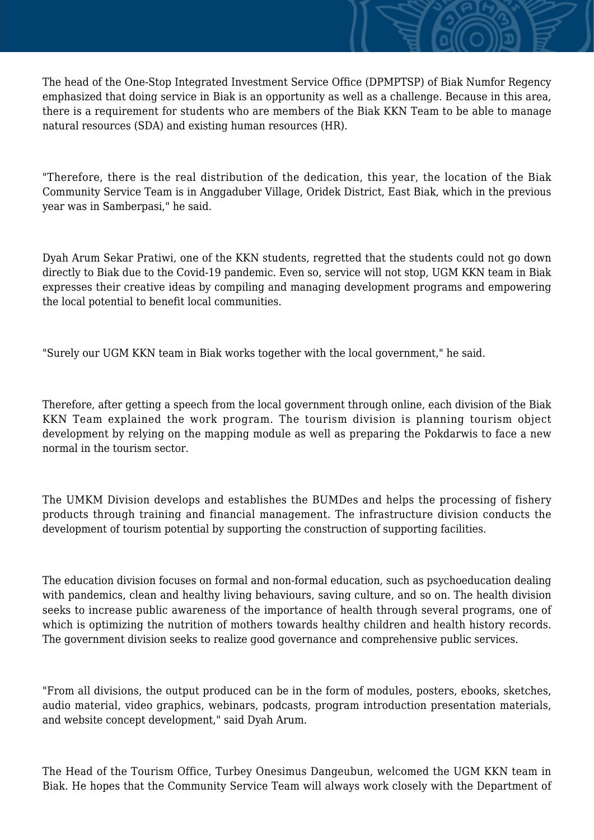The head of the One-Stop Integrated Investment Service Office (DPMPTSP) of Biak Numfor Regency emphasized that doing service in Biak is an opportunity as well as a challenge. Because in this area, there is a requirement for students who are members of the Biak KKN Team to be able to manage natural resources (SDA) and existing human resources (HR).

"Therefore, there is the real distribution of the dedication, this year, the location of the Biak Community Service Team is in Anggaduber Village, Oridek District, East Biak, which in the previous year was in Samberpasi," he said.

Dyah Arum Sekar Pratiwi, one of the KKN students, regretted that the students could not go down directly to Biak due to the Covid-19 pandemic. Even so, service will not stop, UGM KKN team in Biak expresses their creative ideas by compiling and managing development programs and empowering the local potential to benefit local communities.

"Surely our UGM KKN team in Biak works together with the local government," he said.

Therefore, after getting a speech from the local government through online, each division of the Biak KKN Team explained the work program. The tourism division is planning tourism object development by relying on the mapping module as well as preparing the Pokdarwis to face a new normal in the tourism sector.

The UMKM Division develops and establishes the BUMDes and helps the processing of fishery products through training and financial management. The infrastructure division conducts the development of tourism potential by supporting the construction of supporting facilities.

The education division focuses on formal and non-formal education, such as psychoeducation dealing with pandemics, clean and healthy living behaviours, saving culture, and so on. The health division seeks to increase public awareness of the importance of health through several programs, one of which is optimizing the nutrition of mothers towards healthy children and health history records. The government division seeks to realize good governance and comprehensive public services.

"From all divisions, the output produced can be in the form of modules, posters, ebooks, sketches, audio material, video graphics, webinars, podcasts, program introduction presentation materials, and website concept development," said Dyah Arum.

The Head of the Tourism Office, Turbey Onesimus Dangeubun, welcomed the UGM KKN team in Biak. He hopes that the Community Service Team will always work closely with the Department of